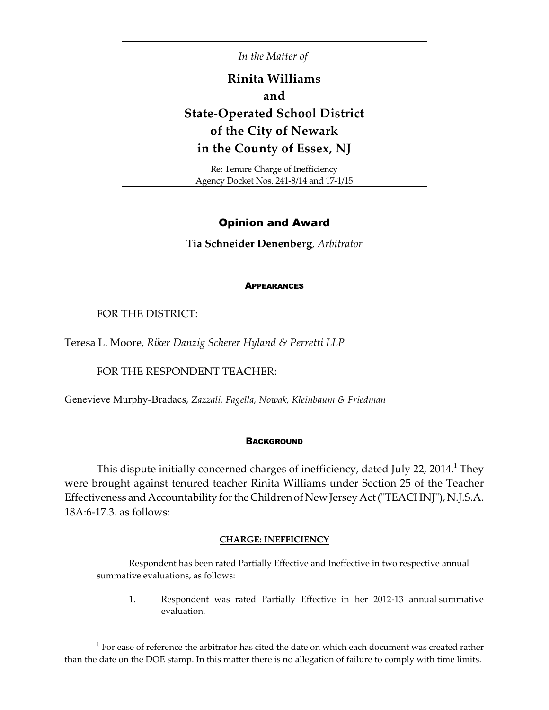*In the Matter of* 

# **Rinita Williams and State-Operated School District of the City of Newark in the County of Essex, NJ**

Re: Tenure Charge of Inefficiency Agency Docket Nos. 241-8/14 and 17-1/15

## Opinion and Award

**Tia Schneider Denenberg**, *Arbitrator*

#### **APPEARANCES**

FOR THE DISTRICT:

Teresa L. Moore, *Riker Danzig Scherer Hyland & Perretti LLP*

FOR THE RESPONDENT TEACHER:

Genevieve Murphy-Bradacs, *Zazzali, Fagella, Nowak, Kleinbaum & Friedman*

#### **BACKGROUND**

This dispute initially concerned charges of inefficiency, dated July 22, 2014.<sup>1</sup> They were brought against tenured teacher Rinita Williams under Section 25 of the Teacher Effectiveness and Accountability for the Children of New Jersey Act ("TEACHNJ"), N.J.S.A. 18A:6-17.3. as follows:

#### **CHARGE: INEFFICIENCY**

Respondent has been rated Partially Effective and Ineffective in two respective annual summative evaluations, as follows:

1. Respondent was rated Partially Effective in her 2012-13 annual summative evaluation.

 $1$  For ease of reference the arbitrator has cited the date on which each document was created rather than the date on the DOE stamp. In this matter there is no allegation of failure to comply with time limits.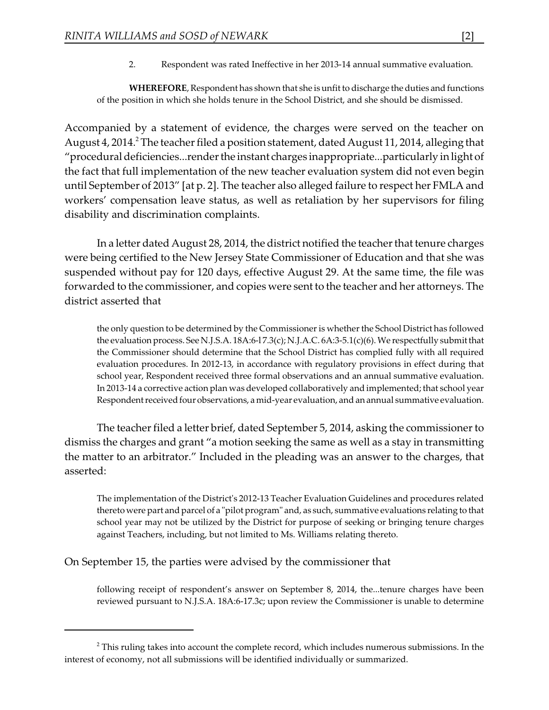2. Respondent was rated Ineffective in her 2013-14 annual summative evaluation.

**WHEREFORE**, Respondent has shown that she is unfit to discharge the duties and functions of the position in which she holds tenure in the School District, and she should be dismissed.

Accompanied by a statement of evidence, the charges were served on the teacher on August 4, 2014.<sup>2</sup> The teacher filed a position statement, dated August 11, 2014, alleging that "procedural deficiencies...render the instant charges inappropriate...particularly in light of the fact that full implementation of the new teacher evaluation system did not even begin until September of 2013" [at p. 2]. The teacher also alleged failure to respect her FMLA and workers' compensation leave status, as well as retaliation by her supervisors for filing disability and discrimination complaints.

In a letter dated August 28, 2014, the district notified the teacher that tenure charges were being certified to the New Jersey State Commissioner of Education and that she was suspended without pay for 120 days, effective August 29. At the same time, the file was forwarded to the commissioner, and copies were sent to the teacher and her attorneys. The district asserted that

the only question to be determined by the Commissioner is whether the School District has followed the evaluation process. See N.J.S.A. 18A:6-l 7.3(c); N.J.A.C. 6A:3-5.1(c)(6). We respectfully submit that the Commissioner should determine that the School District has complied fully with all required evaluation procedures. In 2012-13, in accordance with regulatory provisions in effect during that school year, Respondent received three formal observations and an annual summative evaluation. In 2013-14 a corrective action plan was developed collaboratively and implemented; that school year Respondent received four observations, a mid-year evaluation, and an annual summative evaluation.

The teacher filed a letter brief, dated September 5, 2014, asking the commissioner to dismiss the charges and grant "a motion seeking the same as well as a stay in transmitting the matter to an arbitrator." Included in the pleading was an answer to the charges, that asserted:

The implementation of the District's 2012-13 Teacher Evaluation Guidelines and procedures related thereto were part and parcel of a "pilot program" and, as such, summative evaluations relating to that school year may not be utilized by the District for purpose of seeking or bringing tenure charges against Teachers, including, but not limited to Ms. Williams relating thereto.

On September 15, the parties were advised by the commissioner that

following receipt of respondent's answer on September 8, 2014, the...tenure charges have been reviewed pursuant to N.J.S.A. 18A:6-17.3c; upon review the Commissioner is unable to determine

 $2$ <sup>2</sup> This ruling takes into account the complete record, which includes numerous submissions. In the interest of economy, not all submissions will be identified individually or summarized.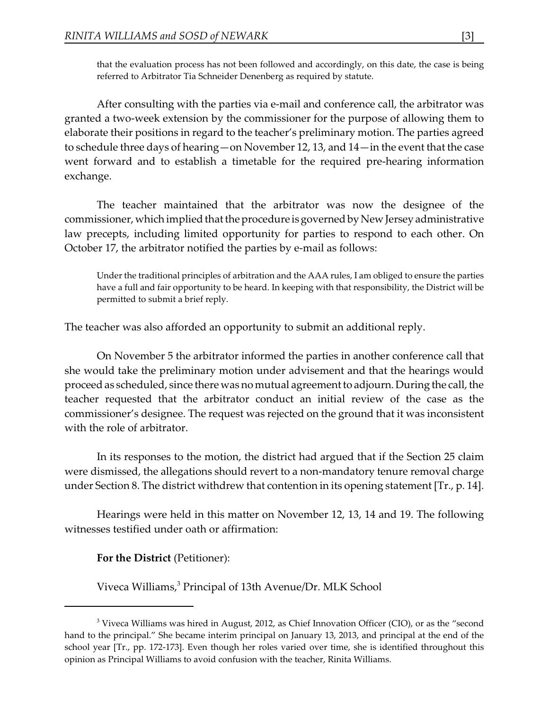that the evaluation process has not been followed and accordingly, on this date, the case is being referred to Arbitrator Tia Schneider Denenberg as required by statute.

After consulting with the parties via e-mail and conference call, the arbitrator was granted a two-week extension by the commissioner for the purpose of allowing them to elaborate their positions in regard to the teacher's preliminary motion. The parties agreed to schedule three days of hearing—on November 12, 13, and 14—in the event that the case went forward and to establish a timetable for the required pre-hearing information exchange.

The teacher maintained that the arbitrator was now the designee of the commissioner, which implied that the procedure is governed by New Jersey administrative law precepts, including limited opportunity for parties to respond to each other. On October 17, the arbitrator notified the parties by e-mail as follows:

Under the traditional principles of arbitration and the AAA rules, I am obliged to ensure the parties have a full and fair opportunity to be heard. In keeping with that responsibility, the District will be permitted to submit a brief reply.

The teacher was also afforded an opportunity to submit an additional reply.

On November 5 the arbitrator informed the parties in another conference call that she would take the preliminary motion under advisement and that the hearings would proceed as scheduled, since there was no mutual agreement to adjourn. During the call, the teacher requested that the arbitrator conduct an initial review of the case as the commissioner's designee. The request was rejected on the ground that it was inconsistent with the role of arbitrator.

In its responses to the motion, the district had argued that if the Section 25 claim were dismissed, the allegations should revert to a non-mandatory tenure removal charge under Section 8. The district withdrew that contention in its opening statement [Tr., p. 14].

Hearings were held in this matter on November 12, 13, 14 and 19. The following witnesses testified under oath or affirmation:

# **For the District** (Petitioner):

Viveca Williams,<sup>3</sup> Principal of 13th Avenue/Dr. MLK School

 $3$  Viveca Williams was hired in August, 2012, as Chief Innovation Officer (CIO), or as the "second hand to the principal." She became interim principal on January 13, 2013, and principal at the end of the school year [Tr., pp. 172-173]. Even though her roles varied over time, she is identified throughout this opinion as Principal Williams to avoid confusion with the teacher, Rinita Williams.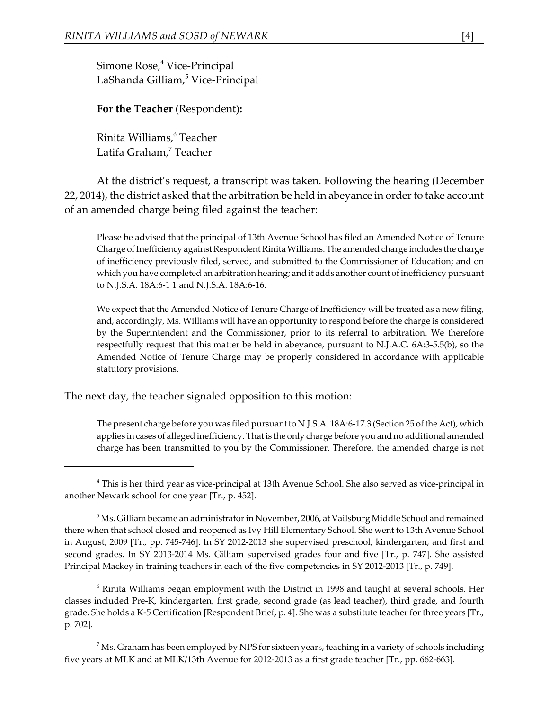Simone Rose,<sup>4</sup> Vice-Principal LaShanda Gilliam,<sup>5</sup> Vice-Principal

**For the Teacher** (Respondent)**:**

Rinita Williams,<sup>6</sup> Teacher Latifa Graham,<sup>7</sup> Teacher

At the district's request, a transcript was taken. Following the hearing (December 22, 2014), the district asked that the arbitration be held in abeyance in order to take account of an amended charge being filed against the teacher:

Please be advised that the principal of 13th Avenue School has filed an Amended Notice of Tenure Charge of Inefficiency against Respondent Rinita Williams. The amended charge includes the charge of inefficiency previously filed, served, and submitted to the Commissioner of Education; and on which you have completed an arbitration hearing; and it adds another count of inefficiency pursuant to N.J.S.A. 18A:6-1 1 and N.J.S.A. 18A:6-16.

We expect that the Amended Notice of Tenure Charge of Inefficiency will be treated as a new filing, and, accordingly, Ms. Williams will have an opportunity to respond before the charge is considered by the Superintendent and the Commissioner, prior to its referral to arbitration. We therefore respectfully request that this matter be held in abeyance, pursuant to N.J.A.C. 6A:3-5.5(b), so the Amended Notice of Tenure Charge may be properly considered in accordance with applicable statutory provisions.

The next day, the teacher signaled opposition to this motion:

The present charge before you was filed pursuant to N.J.S.A. 18A:6-17.3 (Section 25 of the Act), which applies in cases of alleged inefficiency. That is the only charge before you and no additional amended charge has been transmitted to you by the Commissioner. Therefore, the amended charge is not

 $\delta$  Rinita Williams began employment with the District in 1998 and taught at several schools. Her classes included Pre-K, kindergarten, first grade, second grade (as lead teacher), third grade, and fourth grade. She holds a K-5 Certification [Respondent Brief, p. 4]. She was a substitute teacher for three years [Tr., p. 702].

 $\mathrm{M}$ s. Graham has been employed by NPS for sixteen years, teaching in a variety of schools including five years at MLK and at MLK/13th Avenue for 2012-2013 as a first grade teacher [Tr., pp. 662-663].

<sup>&</sup>lt;sup>4</sup> This is her third year as vice-principal at 13th Avenue School. She also served as vice-principal in another Newark school for one year [Tr., p. 452].

 $^5$ Ms. Gilliam became an administrator in November, 2006, at Vailsburg Middle School and remained there when that school closed and reopened as Ivy Hill Elementary School. She went to 13th Avenue School in August, 2009 [Tr., pp. 745-746]. In SY 2012-2013 she supervised preschool, kindergarten, and first and second grades. In SY 2013-2014 Ms. Gilliam supervised grades four and five [Tr., p. 747]. She assisted Principal Mackey in training teachers in each of the five competencies in SY 2012-2013 [Tr., p. 749].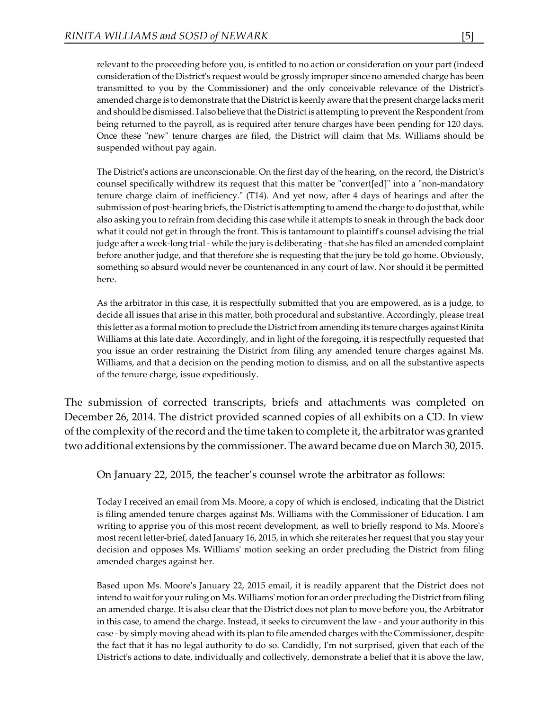relevant to the proceeding before you, is entitled to no action or consideration on your part (indeed consideration of the District's request would be grossly improper since no amended charge has been transmitted to you by the Commissioner) and the only conceivable relevance of the District's amended charge is to demonstrate that the District is keenly aware that the present charge lacks merit and should be dismissed. I also believe that the District is attempting to prevent the Respondent from being returned to the payroll, as is required after tenure charges have been pending for 120 days. Once these "new" tenure charges are filed, the District will claim that Ms. Williams should be suspended without pay again.

The District's actions are unconscionable. On the first day of the hearing, on the record, the District's counsel specifically withdrew its request that this matter be "convert[ed]" into a "non-mandatory tenure charge claim of inefficiency." (T14). And yet now, after 4 days of hearings and after the submission of post-hearing briefs, the District is attempting to amend the charge to do just that, while also asking you to refrain from deciding this case while it attempts to sneak in through the back door what it could not get in through the front. This is tantamount to plaintiff's counsel advising the trial judge after a week-long trial - while the jury is deliberating - that she has filed an amended complaint before another judge, and that therefore she is requesting that the jury be told go home. Obviously, something so absurd would never be countenanced in any court of law. Nor should it be permitted here.

As the arbitrator in this case, it is respectfully submitted that you are empowered, as is a judge, to decide all issues that arise in this matter, both procedural and substantive. Accordingly, please treat this letter as a formal motion to preclude the District from amending its tenure charges against Rinita Williams at this late date. Accordingly, and in light of the foregoing, it is respectfully requested that you issue an order restraining the District from filing any amended tenure charges against Ms. Williams, and that a decision on the pending motion to dismiss, and on all the substantive aspects of the tenure charge, issue expeditiously.

The submission of corrected transcripts, briefs and attachments was completed on December 26, 2014. The district provided scanned copies of all exhibits on a CD. In view of the complexity of the record and the time taken to complete it, the arbitrator was granted two additional extensions by the commissioner. The award became due on March 30, 2015.

On January 22, 2015, the teacher's counsel wrote the arbitrator as follows:

Today I received an email from Ms. Moore, a copy of which is enclosed, indicating that the District is filing amended tenure charges against Ms. Williams with the Commissioner of Education. I am writing to apprise you of this most recent development, as well to briefly respond to Ms. Moore's most recent letter-brief, dated January 16, 2015, in which she reiterates her request that you stay your decision and opposes Ms. Williams' motion seeking an order precluding the District from filing amended charges against her.

Based upon Ms. Moore's January 22, 2015 email, it is readily apparent that the District does not intend to wait for your ruling on Ms. Williams' motion for an order precluding the District from filing an amended charge. It is also clear that the District does not plan to move before you, the Arbitrator in this case, to amend the charge. Instead, it seeks to circumvent the law - and your authority in this case - by simply moving ahead with its plan to file amended charges with the Commissioner, despite the fact that it has no legal authority to do so. Candidly, I'm not surprised, given that each of the District's actions to date, individually and collectively, demonstrate a belief that it is above the law,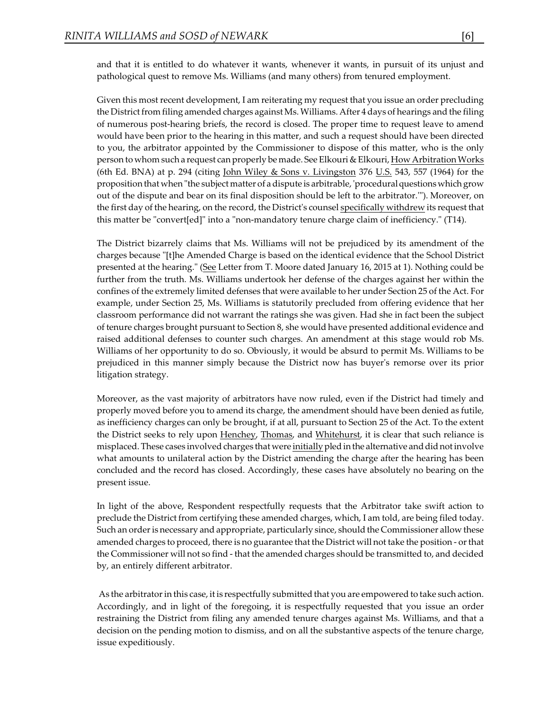and that it is entitled to do whatever it wants, whenever it wants, in pursuit of its unjust and pathological quest to remove Ms. Williams (and many others) from tenured employment.

Given this most recent development, I am reiterating my request that you issue an order precluding the District from filing amended charges against Ms. Williams. After 4 days of hearings and the filing of numerous post-hearing briefs, the record is closed. The proper time to request leave to amend would have been prior to the hearing in this matter, and such a request should have been directed to you, the arbitrator appointed by the Commissioner to dispose of this matter, who is the only person to whom such a request can properly be made. See Elkouri & Elkouri, How Arbitration Works (6th Ed. BNA) at p. 294 (citing John Wiley & Sons v. Livingston 376 U.S. 543, 557 (1964) for the proposition that when "the subject matter of a dispute is arbitrable, 'proceduralquestionswhich grow out of the dispute and bear on its final disposition should be left to the arbitrator.'"). Moreover, on the first day of the hearing, on the record, the District's counsel specifically withdrew its request that this matter be "convert[ed]" into a "non-mandatory tenure charge claim of inefficiency." (T14).

The District bizarrely claims that Ms. Williams will not be prejudiced by its amendment of the charges because "[t]he Amended Charge is based on the identical evidence that the School District presented at the hearing." (See Letter from T. Moore dated January 16, 2015 at 1). Nothing could be further from the truth. Ms. Williams undertook her defense of the charges against her within the confines of the extremely limited defenses that were available to her under Section 25 of the Act. For example, under Section 25, Ms. Williams is statutorily precluded from offering evidence that her classroom performance did not warrant the ratings she was given. Had she in fact been the subject of tenure charges brought pursuant to Section 8, she would have presented additional evidence and raised additional defenses to counter such charges. An amendment at this stage would rob Ms. Williams of her opportunity to do so. Obviously, it would be absurd to permit Ms. Williams to be prejudiced in this manner simply because the District now has buyer's remorse over its prior litigation strategy.

Moreover, as the vast majority of arbitrators have now ruled, even if the District had timely and properly moved before you to amend its charge, the amendment should have been denied as futile, as inefficiency charges can only be brought, if at all, pursuant to Section 25 of the Act. To the extent the District seeks to rely upon Henchey, Thomas, and Whitehurst, it is clear that such reliance is misplaced. These cases involved charges that were initially pled in the alternative and did not involve what amounts to unilateral action by the District amending the charge after the hearing has been concluded and the record has closed. Accordingly, these cases have absolutely no bearing on the present issue.

In light of the above, Respondent respectfully requests that the Arbitrator take swift action to preclude the District from certifying these amended charges, which, I am told, are being filed today. Such an order is necessary and appropriate, particularly since, should the Commissioner allow these amended charges to proceed, there is no guarantee that the District will not take the position - or that the Commissioner will not so find - that the amended charges should be transmitted to, and decided by, an entirely different arbitrator.

As the arbitrator in this case, it is respectfully submitted that you are empowered to take such action. Accordingly, and in light of the foregoing, it is respectfully requested that you issue an order restraining the District from filing any amended tenure charges against Ms. Williams, and that a decision on the pending motion to dismiss, and on all the substantive aspects of the tenure charge, issue expeditiously.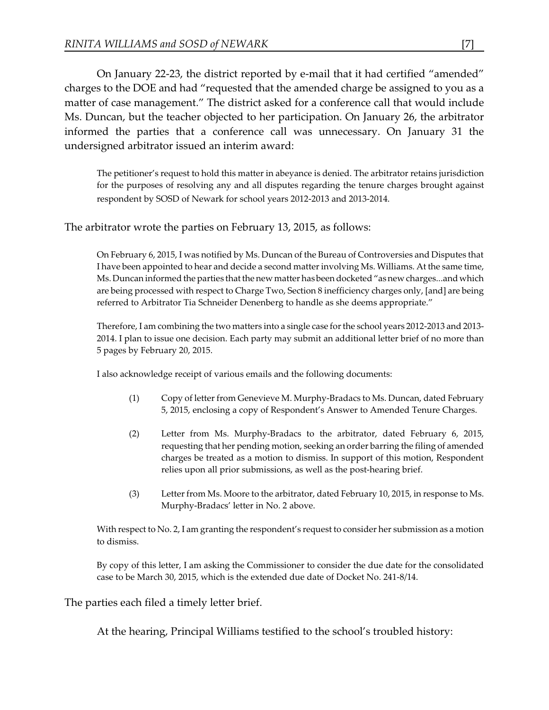On January 22-23, the district reported by e-mail that it had certified "amended" charges to the DOE and had "requested that the amended charge be assigned to you as a matter of case management." The district asked for a conference call that would include Ms. Duncan, but the teacher objected to her participation. On January 26, the arbitrator informed the parties that a conference call was unnecessary. On January 31 the undersigned arbitrator issued an interim award:

The petitioner's request to hold this matter in abeyance is denied. The arbitrator retains jurisdiction for the purposes of resolving any and all disputes regarding the tenure charges brought against respondent by SOSD of Newark for school years 2012-2013 and 2013-2014.

The arbitrator wrote the parties on February 13, 2015, as follows:

On February 6, 2015, I was notified by Ms. Duncan of the Bureau of Controversies and Disputes that I have been appointed to hear and decide a second matter involving Ms. Williams. At the same time, Ms. Duncan informed the parties that the new matter hasbeen docketed "as new charges...and which are being processed with respect to Charge Two, Section 8 inefficiency charges only, [and] are being referred to Arbitrator Tia Schneider Denenberg to handle as she deems appropriate."

Therefore, I am combining the two matters into a single case for the school years 2012-2013 and 2013- 2014. I plan to issue one decision. Each party may submit an additional letter brief of no more than 5 pages by February 20, 2015.

I also acknowledge receipt of various emails and the following documents:

- (1) Copy of letter from Genevieve M. Murphy-Bradacs to Ms. Duncan, dated February 5, 2015, enclosing a copy of Respondent's Answer to Amended Tenure Charges.
- (2) Letter from Ms. Murphy-Bradacs to the arbitrator, dated February 6, 2015, requesting that her pending motion, seeking an order barring the filing of amended charges be treated as a motion to dismiss. In support of this motion, Respondent relies upon all prior submissions, as well as the post-hearing brief.
- (3) Letter from Ms. Moore to the arbitrator, dated February 10, 2015, in response to Ms. Murphy-Bradacs' letter in No. 2 above.

With respect to No. 2, I am granting the respondent's request to consider her submission as a motion to dismiss.

By copy of this letter, I am asking the Commissioner to consider the due date for the consolidated case to be March 30, 2015, which is the extended due date of Docket No. 241-8/14.

The parties each filed a timely letter brief.

At the hearing, Principal Williams testified to the school's troubled history: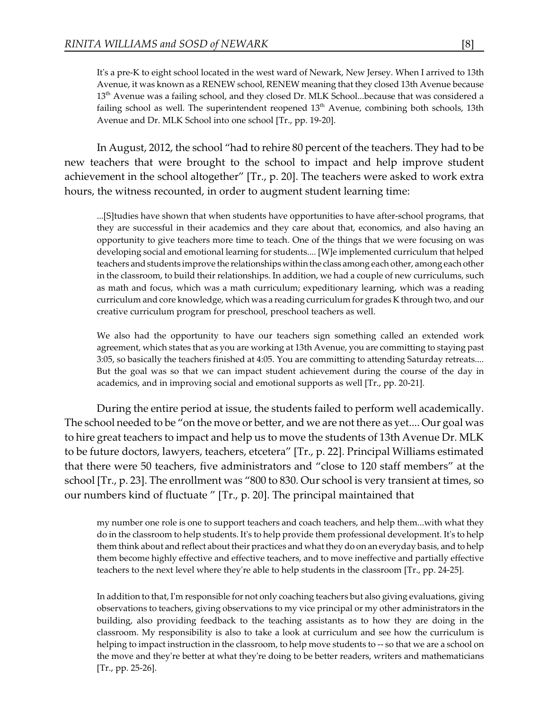It's a pre-K to eight school located in the west ward of Newark, New Jersey. When I arrived to 13th Avenue, it was known as a RENEW school, RENEW meaning that they closed 13th Avenue because  $13^{\text{th}}$  Avenue was a failing school, and they closed Dr. MLK School...because that was considered a failing school as well. The superintendent reopened  $13<sup>th</sup>$  Avenue, combining both schools, 13th Avenue and Dr. MLK School into one school [Tr., pp. 19-20].

In August, 2012, the school "had to rehire 80 percent of the teachers. They had to be new teachers that were brought to the school to impact and help improve student achievement in the school altogether" [Tr., p. 20]. The teachers were asked to work extra hours, the witness recounted, in order to augment student learning time:

...[S]tudies have shown that when students have opportunities to have after-school programs, that they are successful in their academics and they care about that, economics, and also having an opportunity to give teachers more time to teach. One of the things that we were focusing on was developing social and emotional learning for students.... [W]e implemented curriculum that helped teachers and students improve the relationshipswithinthe class among each other, among each other in the classroom, to build their relationships. In addition, we had a couple of new curriculums, such as math and focus, which was a math curriculum; expeditionary learning, which was a reading curriculum and core knowledge, which was a reading curriculum for grades K through two, and our creative curriculum program for preschool, preschool teachers as well.

We also had the opportunity to have our teachers sign something called an extended work agreement, which states that as you are working at 13th Avenue, you are committing to staying past 3:05, so basically the teachers finished at 4:05. You are committing to attending Saturday retreats.... But the goal was so that we can impact student achievement during the course of the day in academics, and in improving social and emotional supports as well [Tr., pp. 20-21].

During the entire period at issue, the students failed to perform well academically. The school needed to be "on the move or better, and we are not there as yet.... Our goal was to hire great teachers to impact and help us to move the students of 13th Avenue Dr. MLK to be future doctors, lawyers, teachers, etcetera" [Tr., p. 22]. Principal Williams estimated that there were 50 teachers, five administrators and "close to 120 staff members" at the school [Tr., p. 23]. The enrollment was "800 to 830. Our school is very transient at times, so our numbers kind of fluctuate " [Tr., p. 20]. The principal maintained that

my number one role is one to support teachers and coach teachers, and help them...with what they do in the classroom to help students. It's to help provide them professional development. It's to help them think about and reflect about their practices and what they do on an everyday basis, and to help them become highly effective and effective teachers, and to move ineffective and partially effective teachers to the next level where they're able to help students in the classroom [Tr., pp. 24-25].

In addition to that, I'm responsible for not only coaching teachers but also giving evaluations, giving observations to teachers, giving observations to my vice principal or my other administrators in the building, also providing feedback to the teaching assistants as to how they are doing in the classroom. My responsibility is also to take a look at curriculum and see how the curriculum is helping to impact instruction in the classroom, to help move students to -- so that we are a school on the move and they're better at what they're doing to be better readers, writers and mathematicians [Tr., pp. 25-26].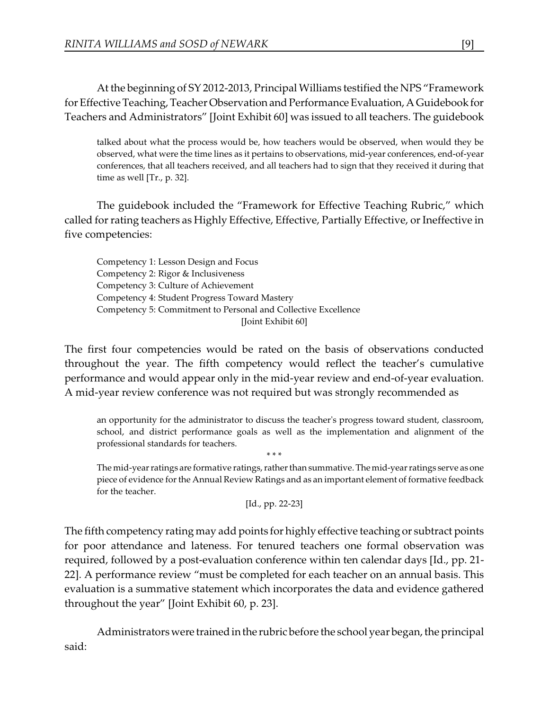At the beginning of SY 2012-2013, Principal Williams testified the NPS "Framework for Effective Teaching, Teacher Observation and Performance Evaluation, A Guidebook for Teachers and Administrators" [Joint Exhibit 60] was issued to all teachers. The guidebook

talked about what the process would be, how teachers would be observed, when would they be observed, what were the time lines as it pertains to observations, mid-year conferences, end-of-year conferences, that all teachers received, and all teachers had to sign that they received it during that time as well [Tr., p. 32].

The guidebook included the "Framework for Effective Teaching Rubric," which called for rating teachers as Highly Effective, Effective, Partially Effective, or Ineffective in five competencies:

Competency 1: Lesson Design and Focus Competency 2: Rigor & Inclusiveness Competency 3: Culture of Achievement Competency 4: Student Progress Toward Mastery Competency 5: Commitment to Personal and Collective Excellence [Joint Exhibit 60]

The first four competencies would be rated on the basis of observations conducted throughout the year. The fifth competency would reflect the teacher's cumulative performance and would appear only in the mid-year review and end-of-year evaluation. A mid-year review conference was not required but was strongly recommended as

an opportunity for the administrator to discuss the teacher's progress toward student, classroom, school, and district performance goals as well as the implementation and alignment of the professional standards for teachers.

The mid-year ratings are formative ratings, rather than summative.Themid-year ratings serve as one piece of evidence for the Annual Review Ratings and as an important element of formative feedback for the teacher.

```
[Id., pp. 22-23]
```
\* \* \*

The fifth competency rating may add points for highly effective teaching or subtract points for poor attendance and lateness. For tenured teachers one formal observation was required, followed by a post-evaluation conference within ten calendar days [Id., pp. 21- 22]. A performance review "must be completed for each teacher on an annual basis. This evaluation is a summative statement which incorporates the data and evidence gathered throughout the year" [Joint Exhibit 60, p. 23].

Administrators were trained inthe rubric before the school year began, the principal said: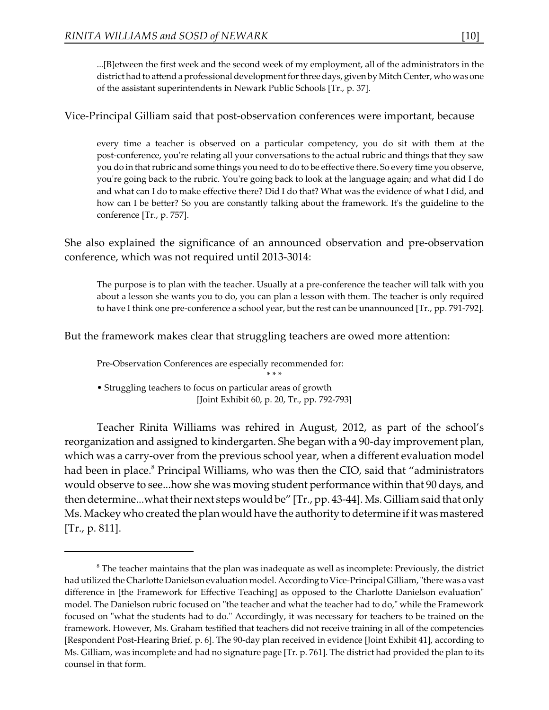...[B]etween the first week and the second week of my employment, all of the administrators in the district had to attend a professional development for three days, given by Mitch Center, who was one of the assistant superintendents in Newark Public Schools [Tr., p. 37].

Vice-Principal Gilliam said that post-observation conferences were important, because

every time a teacher is observed on a particular competency, you do sit with them at the post-conference, you're relating all your conversations to the actual rubric and things that they saw you do in that rubric and some things you need to do to be effective there. So every time you observe, you're going back to the rubric. You're going back to look at the language again; and what did I do and what can I do to make effective there? Did I do that? What was the evidence of what I did, and how can I be better? So you are constantly talking about the framework. It's the guideline to the conference [Tr., p. 757].

She also explained the significance of an announced observation and pre-observation conference, which was not required until 2013-3014:

The purpose is to plan with the teacher. Usually at a pre-conference the teacher will talk with you about a lesson she wants you to do, you can plan a lesson with them. The teacher is only required to have I think one pre-conference a school year, but the rest can be unannounced [Tr., pp. 791-792].

But the framework makes clear that struggling teachers are owed more attention:

Pre-Observation Conferences are especially recommended for:

\* \* \*

• Struggling teachers to focus on particular areas of growth [Joint Exhibit 60, p. 20, Tr., pp. 792-793]

Teacher Rinita Williams was rehired in August, 2012, as part of the school's reorganization and assigned to kindergarten. She began with a 90-day improvement plan, which was a carry-over from the previous school year, when a different evaluation model had been in place.<sup>8</sup> Principal Williams, who was then the CIO, said that "administrators" would observe to see...how she was moving student performance within that 90 days, and then determine...what their next steps would be" [Tr., pp. 43-44]. Ms. Gilliam said that only Ms. Mackey who created the plan would have the authority to determine if it was mastered [Tr., p. 811].

 $\delta$  The teacher maintains that the plan was inadequate as well as incomplete: Previously, the district had utilized the Charlotte Danielson evaluation model. According to Vice-Principal Gilliam, "there was a vast difference in [the Framework for Effective Teaching] as opposed to the Charlotte Danielson evaluation" model. The Danielson rubric focused on "the teacher and what the teacher had to do," while the Framework focused on "what the students had to do." Accordingly, it was necessary for teachers to be trained on the framework. However, Ms. Graham testified that teachers did not receive training in all of the competencies [Respondent Post-Hearing Brief, p. 6]. The 90-day plan received in evidence [Joint Exhibit 41], according to Ms. Gilliam, was incomplete and had no signature page [Tr. p. 761]. The district had provided the plan to its counsel in that form.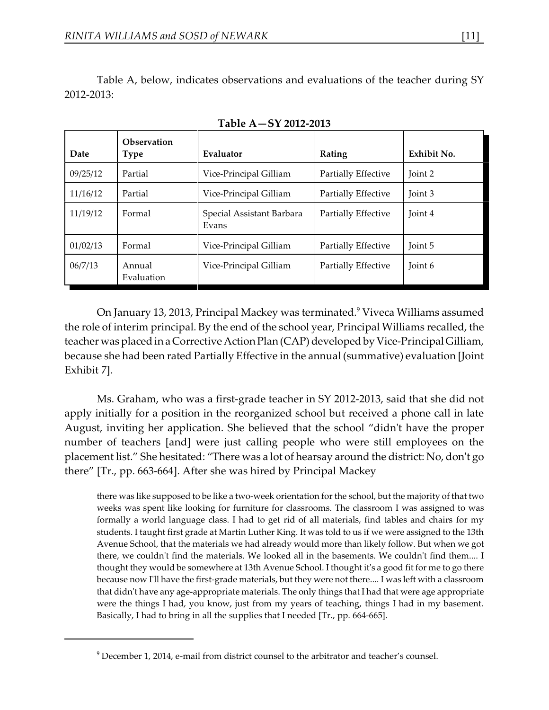Table A, below, indicates observations and evaluations of the teacher during SY 2012-2013:

| Date     | Observation<br>Type  | Evaluator                          | Rating              | Exhibit No. |
|----------|----------------------|------------------------------------|---------------------|-------------|
| 09/25/12 | Partial              | Vice-Principal Gilliam             | Partially Effective | Joint 2     |
| 11/16/12 | Partial              | Vice-Principal Gilliam             | Partially Effective | Joint 3     |
| 11/19/12 | Formal               | Special Assistant Barbara<br>Evans | Partially Effective | Joint 4     |
| 01/02/13 | Formal               | Vice-Principal Gilliam             | Partially Effective | Joint 5     |
| 06/7/13  | Annual<br>Evaluation | Vice-Principal Gilliam             | Partially Effective | Joint 6     |

**Table A—SY 2012-2013**

On January 13, 2013, Principal Mackey was terminated.<sup>9</sup> Viveca Williams assumed the role of interim principal. By the end of the school year, Principal Williams recalled, the teacher was placed in a Corrective Action Plan (CAP) developed by Vice-Principal Gilliam, because she had been rated Partially Effective in the annual (summative) evaluation [Joint Exhibit 7].

Ms. Graham, who was a first-grade teacher in SY 2012-2013, said that she did not apply initially for a position in the reorganized school but received a phone call in late August, inviting her application. She believed that the school "didn't have the proper number of teachers [and] were just calling people who were still employees on the placement list." She hesitated: "There was a lot of hearsay around the district: No, don't go there" [Tr., pp. 663-664]. After she was hired by Principal Mackey

there was like supposed to be like a two-week orientation for the school, but the majority of that two weeks was spent like looking for furniture for classrooms. The classroom I was assigned to was formally a world language class. I had to get rid of all materials, find tables and chairs for my students. I taught first grade at Martin Luther King. It was told to us if we were assigned to the 13th Avenue School, that the materials we had already would more than likely follow. But when we got there, we couldn't find the materials. We looked all in the basements. We couldn't find them.... I thought they would be somewhere at 13th Avenue School. I thought it's a good fit for me to go there because now I'll have the first-grade materials, but they were not there.... I was left with a classroom that didn't have any age-appropriate materials. The only things that I had that were age appropriate were the things I had, you know, just from my years of teaching, things I had in my basement. Basically, I had to bring in all the supplies that I needed [Tr., pp. 664-665].

<sup>&</sup>lt;sup>9</sup> December 1, 2014, e-mail from district counsel to the arbitrator and teacher's counsel.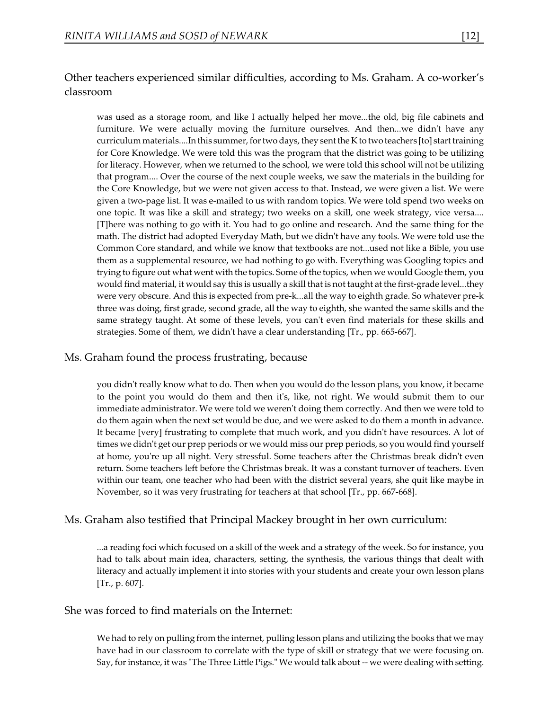# Other teachers experienced similar difficulties, according to Ms. Graham. A co-worker's classroom

was used as a storage room, and like I actually helped her move...the old, big file cabinets and furniture. We were actually moving the furniture ourselves. And then...we didn't have any curriculum materials....In this summer,for two days, they sent the K to two teachers [to] start training for Core Knowledge. We were told this was the program that the district was going to be utilizing for literacy. However, when we returned to the school, we were told this school will not be utilizing that program.... Over the course of the next couple weeks, we saw the materials in the building for the Core Knowledge, but we were not given access to that. Instead, we were given a list. We were given a two-page list. It was e-mailed to us with random topics. We were told spend two weeks on one topic. It was like a skill and strategy; two weeks on a skill, one week strategy, vice versa.... [T]here was nothing to go with it. You had to go online and research. And the same thing for the math. The district had adopted Everyday Math, but we didn't have any tools. We were told use the Common Core standard, and while we know that textbooks are not...used not like a Bible, you use them as a supplemental resource, we had nothing to go with. Everything was Googling topics and trying to figure out what went with the topics. Some of the topics, when we would Google them, you would find material, it would say this is usually a skill that is not taught at the first-grade level...they were very obscure. And this is expected from pre-k...all the way to eighth grade. So whatever pre-k three was doing, first grade, second grade, all the way to eighth, she wanted the same skills and the same strategy taught. At some of these levels, you can't even find materials for these skills and strategies. Some of them, we didn't have a clear understanding [Tr., pp. 665-667].

# Ms. Graham found the process frustrating, because

you didn't really know what to do. Then when you would do the lesson plans, you know, it became to the point you would do them and then it's, like, not right. We would submit them to our immediate administrator. We were told we weren't doing them correctly. And then we were told to do them again when the next set would be due, and we were asked to do them a month in advance. It became [very] frustrating to complete that much work, and you didn't have resources. A lot of times we didn't get our prep periods or we would miss our prep periods, so you would find yourself at home, you're up all night. Very stressful. Some teachers after the Christmas break didn't even return. Some teachers left before the Christmas break. It was a constant turnover of teachers. Even within our team, one teacher who had been with the district several years, she quit like maybe in November, so it was very frustrating for teachers at that school [Tr., pp. 667-668].

# Ms. Graham also testified that Principal Mackey brought in her own curriculum:

...a reading foci which focused on a skill of the week and a strategy of the week. So for instance, you had to talk about main idea, characters, setting, the synthesis, the various things that dealt with literacy and actually implement it into stories with your students and create your own lesson plans [Tr., p. 607].

### She was forced to find materials on the Internet:

We had to rely on pulling from the internet, pulling lesson plans and utilizing the books that we may have had in our classroom to correlate with the type of skill or strategy that we were focusing on. Say, for instance, it was "The Three Little Pigs." We would talk about -- we were dealing with setting.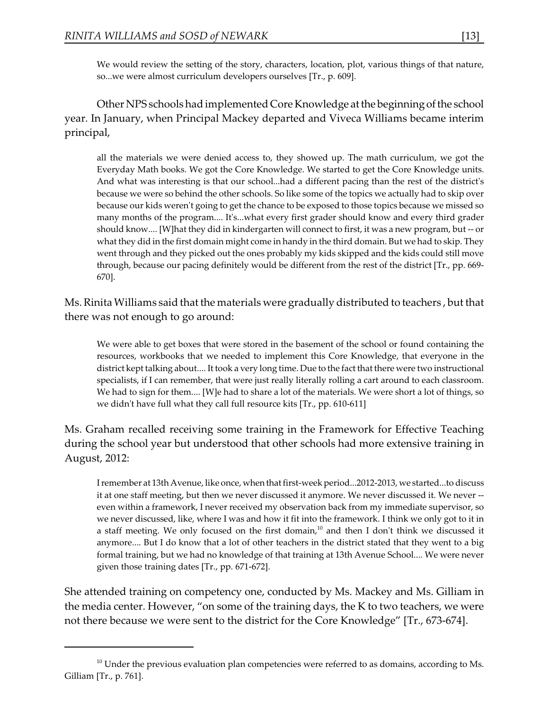We would review the setting of the story, characters, location, plot, various things of that nature, so...we were almost curriculum developers ourselves [Tr., p. 609].

Other NPS schools had implemented Core Knowledge atthe beginningofthe school year. In January, when Principal Mackey departed and Viveca Williams became interim principal,

all the materials we were denied access to, they showed up. The math curriculum, we got the Everyday Math books. We got the Core Knowledge. We started to get the Core Knowledge units. And what was interesting is that our school...had a different pacing than the rest of the district's because we were so behind the other schools. So like some of the topics we actually had to skip over because our kids weren't going to get the chance to be exposed to those topics because we missed so many months of the program.... It's...what every first grader should know and every third grader should know.... [W]hat they did in kindergarten will connect to first, it was a new program, but -- or what they did in the first domain might come in handy in the third domain. But we had to skip. They went through and they picked out the ones probably my kids skipped and the kids could still move through, because our pacing definitely would be different from the rest of the district [Tr., pp. 669- 670].

Ms. Rinita Williams said that the materials were gradually distributed to teachers , but that there was not enough to go around:

We were able to get boxes that were stored in the basement of the school or found containing the resources, workbooks that we needed to implement this Core Knowledge, that everyone in the district kept talking about.... It took a very long time. Due to the fact that there were two instructional specialists, if I can remember, that were just really literally rolling a cart around to each classroom. We had to sign for them.... [W]e had to share a lot of the materials. We were short a lot of things, so we didn't have full what they call full resource kits [Tr., pp. 610-611]

Ms. Graham recalled receiving some training in the Framework for Effective Teaching during the school year but understood that other schools had more extensive training in August, 2012:

I remember at 13th Avenue, like once, when that first-week period...2012-2013, we started...to discuss it at one staff meeting, but then we never discussed it anymore. We never discussed it. We never - even within a framework, I never received my observation back from my immediate supervisor, so we never discussed, like, where I was and how it fit into the framework. I think we only got to it in a staff meeting. We only focused on the first domain, $10$  and then I don't think we discussed it anymore.... But I do know that a lot of other teachers in the district stated that they went to a big formal training, but we had no knowledge of that training at 13th Avenue School.... We were never given those training dates [Tr., pp. 671-672].

She attended training on competency one, conducted by Ms. Mackey and Ms. Gilliam in the media center. However, "on some of the training days, the K to two teachers, we were not there because we were sent to the district for the Core Knowledge" [Tr., 673-674].

 $^{10}$  Under the previous evaluation plan competencies were referred to as domains, according to Ms. Gilliam [Tr., p. 761].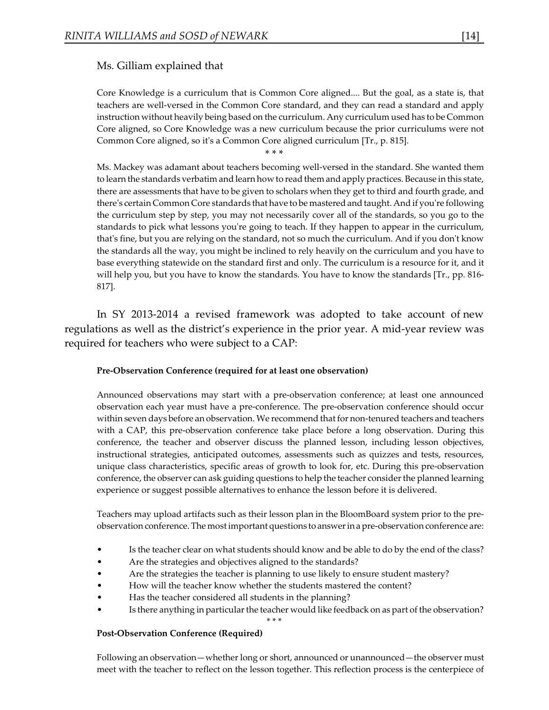# Ms. Gilliam explained that

Core Knowledge is a curriculum that is Common Core aligned.... But the goal, as a state is, that teachers are well-versed in the Common Core standard, and they can read a standard and apply instruction without heavily being based on the curriculum. Any curriculum used has to be Common Core aligned, so Core Knowledge was a new curriculum because the prior curriculums were not Common Core aligned, so it's a Common Core aligned curriculum [Tr., p. 815].

\* \* \*

Ms. Mackey was adamant about teachers becoming well-versed in the standard. She wanted them to learn the standards verbatim and learn how to read them and apply practices. Because in this state, there are assessments that have to be given to scholars when they get to third and fourth grade, and there's certain Common Core standards that have to be mastered and taught. And if you're following the curriculum step by step, you may not necessarily cover all of the standards, so you go to the standards to pick what lessons you're going to teach. If they happen to appear in the curriculum, that's fine, but you are relying on the standard, not so much the curriculum. And if you don't know the standards all the way, you might be inclined to rely heavily on the curriculum and you have to base everything statewide on the standard first and only. The curriculum is a resource for it, and it will help you, but you have to know the standards. You have to know the standards [Tr., pp. 816- 817].

In SY 2013-2014 a revised framework was adopted to take account of new regulations as well as the district's experience in the prior year. A mid-year review was required for teachers who were subject to a CAP:

#### **Pre-Observation Conference (required for at least one observation)**

Announced observations may start with a pre-observation conference; at least one announced observation each year must have a pre-conference. The pre-observation conference should occur within seven days before an observation. We recommend that for non-tenured teachers and teachers with a CAP, this pre-observation conference take place before a long observation. During this conference, the teacher and observer discuss the planned lesson, including lesson objectives, instructional strategies, anticipated outcomes, assessments such as quizzes and tests, resources, unique class characteristics, specific areas of growth to look for, etc. During this pre-observation conference, the observer can ask guiding questions to help the teacher consider the planned learning experience or suggest possible alternatives to enhance the lesson before it is delivered.

Teachers may upload artifacts such as their lesson plan in the BloomBoard system prior to the preobservation conference. The most important questions to answer ina pre-observation conference are:

- Is the teacher clear on what students should know and be able to do by the end of the class?
- Are the strategies and objectives aligned to the standards?
- Are the strategies the teacher is planning to use likely to ensure student mastery?
- How will the teacher know whether the students mastered the content?
- Has the teacher considered all students in the planning?
- Is there anything in particular the teacher would like feedback on as part of the observation?

\* \* \*

#### **Post-Observation Conference (Required)**

Following an observation—whether long or short, announced or unannounced—the observer must meet with the teacher to reflect on the lesson together. This reflection process is the centerpiece of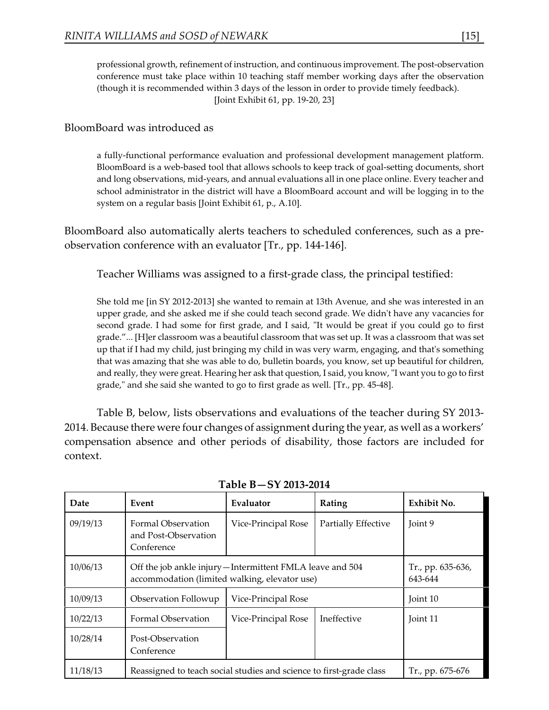professional growth, refinement of instruction, and continuous improvement. The post-observation conference must take place within 10 teaching staff member working days after the observation (though it is recommended within 3 days of the lesson in order to provide timely feedback). [Joint Exhibit 61, pp. 19-20, 23]

# BloomBoard was introduced as

a fully-functional performance evaluation and professional development management platform. BloomBoard is a web-based tool that allows schools to keep track of goal-setting documents, short and long observations, mid-years, and annual evaluations all in one place online. Every teacher and school administrator in the district will have a BloomBoard account and will be logging in to the system on a regular basis [Joint Exhibit 61, p., A.10].

BloomBoard also automatically alerts teachers to scheduled conferences, such as a preobservation conference with an evaluator [Tr., pp. 144-146].

Teacher Williams was assigned to a first-grade class, the principal testified:

She told me [in SY 2012-2013] she wanted to remain at 13th Avenue, and she was interested in an upper grade, and she asked me if she could teach second grade. We didn't have any vacancies for second grade. I had some for first grade, and I said, "It would be great if you could go to first grade."... [H]er classroom was a beautiful classroom that was set up. It was a classroom that was set up that if I had my child, just bringing my child in was very warm, engaging, and that's something that was amazing that she was able to do, bulletin boards, you know, set up beautiful for children, and really, they were great. Hearing her ask that question, I said, you know, "I want you to go to first grade," and she said she wanted to go to first grade as well. [Tr., pp. 45-48].

Table B, below, lists observations and evaluations of the teacher during SY 2013- 2014. Because there were four changes of assignment during the year, as well as a workers' compensation absence and other periods of disability, those factors are included for context.

| Date     | Event                                                                                                       | Evaluator           | Rating              | Exhibit No.                  |
|----------|-------------------------------------------------------------------------------------------------------------|---------------------|---------------------|------------------------------|
| 09/19/13 | Formal Observation<br>and Post-Observation<br>Conference                                                    | Vice-Principal Rose | Partially Effective | Joint 9                      |
| 10/06/13 | Off the job ankle injury - Intermittent FMLA leave and 504<br>accommodation (limited walking, elevator use) |                     |                     | Tr., pp. 635-636,<br>643-644 |
| 10/09/13 | Observation Followup                                                                                        | Vice-Principal Rose |                     | Joint 10                     |
| 10/22/13 | Formal Observation                                                                                          | Vice-Principal Rose | Ineffective         | Joint 11                     |
| 10/28/14 | Post-Observation<br>Conference                                                                              |                     |                     |                              |
| 11/18/13 | Reassigned to teach social studies and science to first-grade class                                         |                     |                     | Tr., pp. 675-676             |

### **Table B—SY 2013-2014**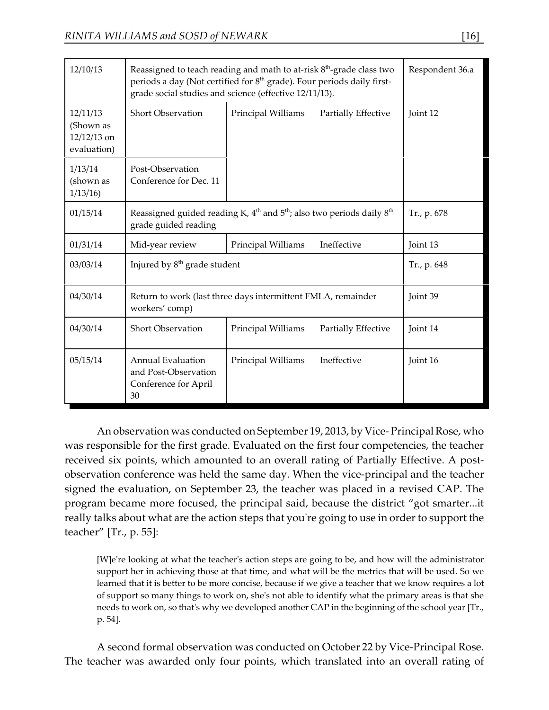| 12/10/13                                              | Reassigned to teach reading and math to at-risk $8th$ -grade class two<br>periods a day (Not certified for 8 <sup>th</sup> grade). Four periods daily first-<br>grade social studies and science (effective 12/11/13). | Respondent 36.a    |                     |          |
|-------------------------------------------------------|------------------------------------------------------------------------------------------------------------------------------------------------------------------------------------------------------------------------|--------------------|---------------------|----------|
| 12/11/13<br>(Shown as<br>$12/12/13$ on<br>evaluation) | <b>Short Observation</b>                                                                                                                                                                                               | Principal Williams | Partially Effective | Joint 12 |
| 1/13/14<br>(shown as<br>1/13/16                       | Post-Observation<br>Conference for Dec. 11                                                                                                                                                                             |                    |                     |          |
| 01/15/14                                              | Reassigned guided reading K, $4th$ and $5th$ ; also two periods daily $8th$<br>grade guided reading                                                                                                                    | Tr., p. 678        |                     |          |
| 01/31/14                                              | Mid-year review                                                                                                                                                                                                        | Principal Williams | Ineffective         | Joint 13 |
| 03/03/14                                              | Injured by 8 <sup>th</sup> grade student                                                                                                                                                                               | Tr., p. 648        |                     |          |
| 04/30/14                                              | Return to work (last three days intermittent FMLA, remainder<br>workers' comp)                                                                                                                                         | Joint 39           |                     |          |
| 04/30/14                                              | <b>Short Observation</b>                                                                                                                                                                                               | Principal Williams | Partially Effective | Joint 14 |
| 05/15/14                                              | <b>Annual Evaluation</b><br>and Post-Observation<br>Conference for April<br>30                                                                                                                                         | Principal Williams | Ineffective         | Joint 16 |

An observation was conducted on September 19, 2013, by Vice- Principal Rose, who was responsible for the first grade. Evaluated on the first four competencies, the teacher received six points, which amounted to an overall rating of Partially Effective. A postobservation conference was held the same day. When the vice-principal and the teacher signed the evaluation, on September 23, the teacher was placed in a revised CAP. The program became more focused, the principal said, because the district "got smarter...it really talks about what are the action steps that you're going to use in order to support the teacher" [Tr., p. 55]:

[W]e're looking at what the teacher's action steps are going to be, and how will the administrator support her in achieving those at that time, and what will be the metrics that will be used. So we learned that it is better to be more concise, because if we give a teacher that we know requires a lot of support so many things to work on, she's not able to identify what the primary areas is that she needs to work on, so that's why we developed another CAP in the beginning of the school year [Tr., p. 54].

A second formal observation was conducted on October 22 by Vice-Principal Rose. The teacher was awarded only four points, which translated into an overall rating of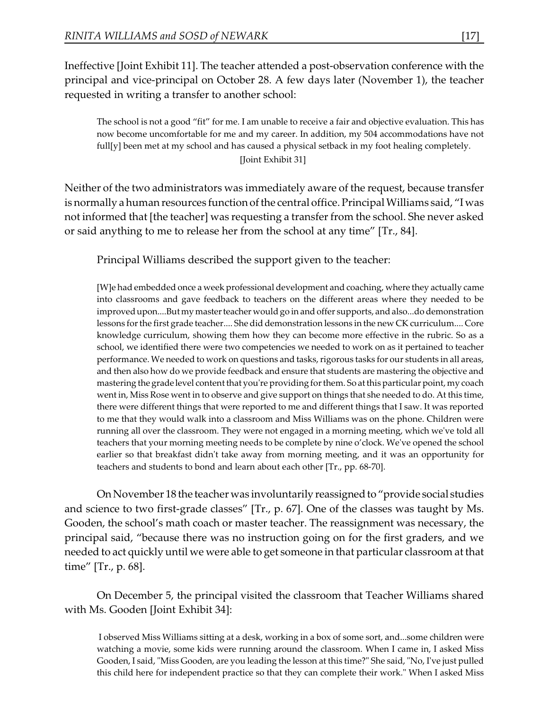Ineffective [Joint Exhibit 11]. The teacher attended a post-observation conference with the principal and vice-principal on October 28. A few days later (November 1), the teacher requested in writing a transfer to another school:

The school is not a good "fit" for me. I am unable to receive a fair and objective evaluation. This has now become uncomfortable for me and my career. In addition, my 504 accommodations have not full[y] been met at my school and has caused a physical setback in my foot healing completely. [Joint Exhibit 31]

Neither of the two administrators was immediately aware of the request, because transfer is normally a human resources function of the central office. Principal Williams said, "I was not informed that [the teacher] was requesting a transfer from the school. She never asked or said anything to me to release her from the school at any time" [Tr., 84].

Principal Williams described the support given to the teacher:

[W]e had embedded once a week professional development and coaching, where they actually came into classrooms and gave feedback to teachers on the different areas where they needed to be improved upon....But my master teacher would go in and offer supports, and also...do demonstration lessons for the first grade teacher.... She did demonstration lessons in the new CK curriculum.... Core knowledge curriculum, showing them how they can become more effective in the rubric. So as a school, we identified there were two competencies we needed to work on as it pertained to teacher performance. We needed to work on questions and tasks, rigorous tasks for our students in all areas, and then also how do we provide feedback and ensure that students are mastering the objective and mastering the grade level content that you're providing for them. So at this particular point, my coach went in, Miss Rose went in to observe and give support on things that she needed to do. At this time, there were different things that were reported to me and different things that I saw. It was reported to me that they would walk into a classroom and Miss Williams was on the phone. Children were running all over the classroom. They were not engaged in a morning meeting, which we've told all teachers that your morning meeting needs to be complete by nine o'clock. We've opened the school earlier so that breakfast didn't take away from morning meeting, and it was an opportunity for teachers and students to bond and learn about each other [Tr., pp. 68-70].

On November 18 the teacher was involuntarily reassigned to "provide social studies and science to two first-grade classes" [Tr., p. 67]. One of the classes was taught by Ms. Gooden, the school's math coach or master teacher. The reassignment was necessary, the principal said, "because there was no instruction going on for the first graders, and we needed to act quickly until we were able to get someone in that particular classroom at that time" [Tr., p. 68].

On December 5, the principal visited the classroom that Teacher Williams shared with Ms. Gooden [Joint Exhibit 34]:

I observed Miss Williams sitting at a desk, working in a box of some sort, and...some children were watching a movie, some kids were running around the classroom. When I came in, I asked Miss Gooden, I said, "Miss Gooden, are you leading the lesson at this time?" She said, "No, I've just pulled this child here for independent practice so that they can complete their work." When I asked Miss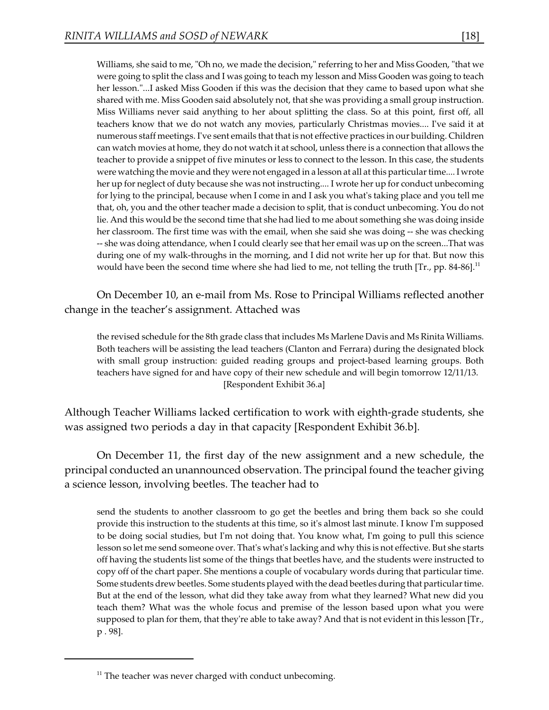Williams, she said to me, "Oh no, we made the decision," referring to her and Miss Gooden, "that we were going to split the class and I was going to teach my lesson and Miss Gooden was going to teach her lesson."...I asked Miss Gooden if this was the decision that they came to based upon what she shared with me. Miss Gooden said absolutely not, that she was providing a small group instruction. Miss Williams never said anything to her about splitting the class. So at this point, first off, all teachers know that we do not watch any movies, particularly Christmas movies.... I've said it at numerous staff meetings. I've sent emails that that is not effective practices in our building. Children can watch movies at home, they do not watch it at school, unless there is a connection that allows the teacher to provide a snippet of five minutes or less to connect to the lesson. In this case, the students were watching the movie and they were not engaged in a lesson at all at this particular time.... I wrote her up for neglect of duty because she was not instructing.... I wrote her up for conduct unbecoming for lying to the principal, because when I come in and I ask you what's taking place and you tell me that, oh, you and the other teacher made a decision to split, that is conduct unbecoming. You do not lie. And this would be the second time that she had lied to me about something she was doing inside her classroom. The first time was with the email, when she said she was doing -- she was checking -- she was doing attendance, when I could clearly see that her email was up on the screen...That was during one of my walk-throughs in the morning, and I did not write her up for that. But now this would have been the second time where she had lied to me, not telling the truth  $[Tr, pp. 84-86]$ .<sup>11</sup>

On December 10, an e-mail from Ms. Rose to Principal Williams reflected another change in the teacher's assignment. Attached was

the revised schedule for the 8th grade class that includes Ms Marlene Davis and Ms Rinita Williams. Both teachers will be assisting the lead teachers (Clanton and Ferrara) during the designated block with small group instruction: guided reading groups and project-based learning groups. Both teachers have signed for and have copy of their new schedule and will begin tomorrow 12/11/13. [Respondent Exhibit 36.a]

Although Teacher Williams lacked certification to work with eighth-grade students, she was assigned two periods a day in that capacity [Respondent Exhibit 36.b].

On December 11, the first day of the new assignment and a new schedule, the principal conducted an unannounced observation. The principal found the teacher giving a science lesson, involving beetles. The teacher had to

send the students to another classroom to go get the beetles and bring them back so she could provide this instruction to the students at this time, so it's almost last minute. I know I'm supposed to be doing social studies, but I'm not doing that. You know what, I'm going to pull this science lesson so let me send someone over. That's what's lacking and why this is not effective. But she starts off having the students list some of the things that beetles have, and the students were instructed to copy off of the chart paper. She mentions a couple of vocabulary words during that particular time. Some students drew beetles. Some students played with the dead beetles during that particular time. But at the end of the lesson, what did they take away from what they learned? What new did you teach them? What was the whole focus and premise of the lesson based upon what you were supposed to plan for them, that they're able to take away? And that is not evident in this lesson [Tr., p . 98].

 $11$  The teacher was never charged with conduct unbecoming.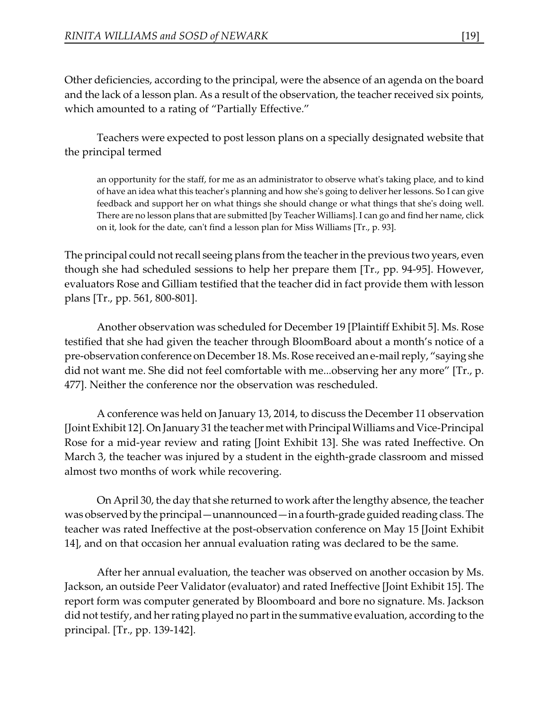Other deficiencies, according to the principal, were the absence of an agenda on the board and the lack of a lesson plan. As a result of the observation, the teacher received six points, which amounted to a rating of "Partially Effective."

Teachers were expected to post lesson plans on a specially designated website that the principal termed

an opportunity for the staff, for me as an administrator to observe what's taking place, and to kind of have an idea what this teacher's planning and how she's going to deliver her lessons. So I can give feedback and support her on what things she should change or what things that she's doing well. There are no lesson plans that are submitted [by Teacher Williams]. I can go and find her name, click on it, look for the date, can't find a lesson plan for Miss Williams [Tr., p. 93].

The principal could not recall seeing plans from the teacher in the previous two years, even though she had scheduled sessions to help her prepare them [Tr., pp. 94-95]. However, evaluators Rose and Gilliam testified that the teacher did in fact provide them with lesson plans [Tr., pp. 561, 800-801].

Another observation was scheduled for December 19 [Plaintiff Exhibit 5]. Ms. Rose testified that she had given the teacher through BloomBoard about a month's notice of a pre-observation conference on December 18. Ms. Rose received ane-mail reply, "saying she did not want me. She did not feel comfortable with me...observing her any more" [Tr., p. 477]. Neither the conference nor the observation was rescheduled.

A conference was held on January 13, 2014, to discuss the December 11 observation [Joint Exhibit 12]. On January 31 the teacher metwithPrincipal Williams and Vice-Principal Rose for a mid-year review and rating [Joint Exhibit 13]. She was rated Ineffective. On March 3, the teacher was injured by a student in the eighth-grade classroom and missed almost two months of work while recovering.

On April 30, the day that she returned to work after the lengthy absence, the teacher was observed by the principal—unannounced—in a fourth-grade guided reading class. The teacher was rated Ineffective at the post-observation conference on May 15 [Joint Exhibit 14], and on that occasion her annual evaluation rating was declared to be the same.

After her annual evaluation, the teacher was observed on another occasion by Ms. Jackson, an outside Peer Validator (evaluator) and rated Ineffective [Joint Exhibit 15]. The report form was computer generated by Bloomboard and bore no signature. Ms. Jackson did not testify, and her rating played no part in the summative evaluation, according to the principal. [Tr., pp. 139-142].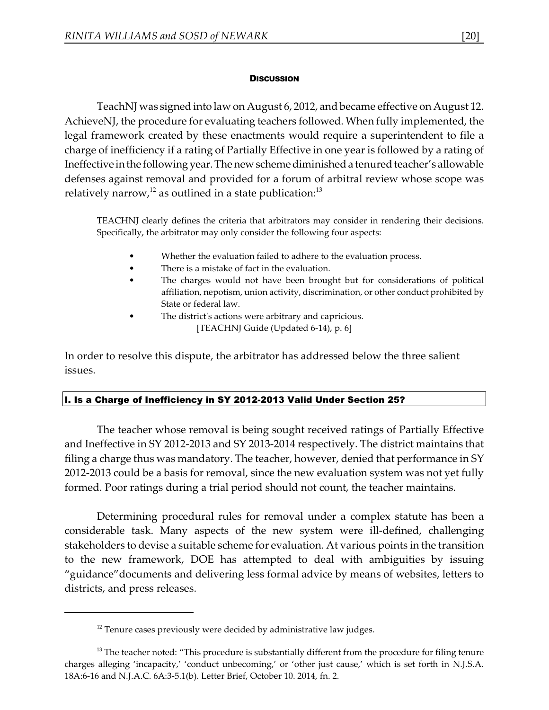#### **DISCUSSION**

TeachNJ was signed into law on August 6, 2012, and became effective on August 12. AchieveNJ, the procedure for evaluating teachers followed. When fully implemented, the legal framework created by these enactments would require a superintendent to file a charge of inefficiency if a rating of Partially Effective in one year is followed by a rating of Ineffective inthe following year. The new schemediminished a tenured teacher's allowable defenses against removal and provided for a forum of arbitral review whose scope was relatively narrow, $^{12}$  as outlined in a state publication: $^{13}$ 

TEACHNJ clearly defines the criteria that arbitrators may consider in rendering their decisions. Specifically, the arbitrator may only consider the following four aspects:

- Whether the evaluation failed to adhere to the evaluation process.
- There is a mistake of fact in the evaluation.
- The charges would not have been brought but for considerations of political affiliation, nepotism, union activity, discrimination, or other conduct prohibited by State or federal law.
- The district's actions were arbitrary and capricious. [TEACHNJ Guide (Updated 6-14), p. 6]

In order to resolve this dispute, the arbitrator has addressed below the three salient issues.

# I. Is a Charge of Inefficiency in SY 2012-2013 Valid Under Section 25?

The teacher whose removal is being sought received ratings of Partially Effective and Ineffective in SY 2012-2013 and SY 2013-2014 respectively. The district maintains that filing a charge thus was mandatory. The teacher, however, denied that performance in SY 2012-2013 could be a basis for removal, since the new evaluation system was not yet fully formed. Poor ratings during a trial period should not count, the teacher maintains.

Determining procedural rules for removal under a complex statute has been a considerable task. Many aspects of the new system were ill-defined, challenging stakeholders to devise a suitable scheme for evaluation. At various points in the transition to the new framework, DOE has attempted to deal with ambiguities by issuing "guidance"documents and delivering less formal advice by means of websites, letters to districts, and press releases.

 $12$  Tenure cases previously were decided by administrative law judges.

 $13$  The teacher noted: "This procedure is substantially different from the procedure for filing tenure charges alleging 'incapacity,' 'conduct unbecoming,' or 'other just cause,' which is set forth in N.J.S.A. 18A:6-16 and N.J.A.C. 6A:3-5.1(b). Letter Brief, October 10. 2014, fn. 2.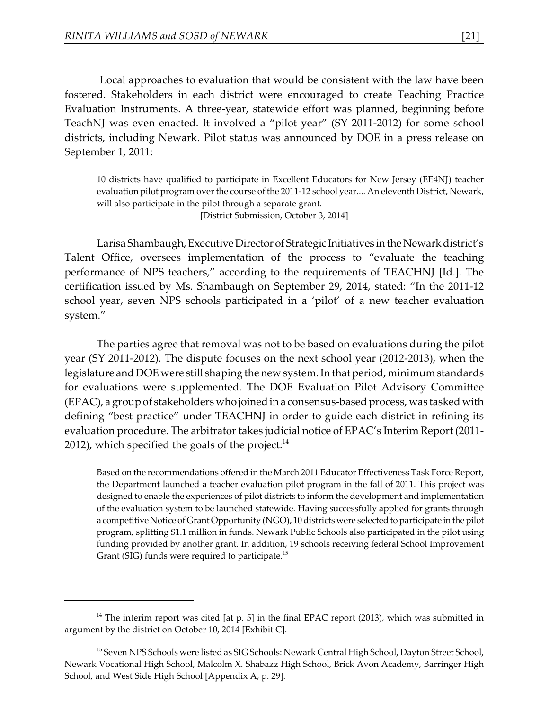Local approaches to evaluation that would be consistent with the law have been fostered. Stakeholders in each district were encouraged to create Teaching Practice Evaluation Instruments. A three-year, statewide effort was planned, beginning before TeachNJ was even enacted. It involved a "pilot year" (SY 2011-2012) for some school districts, including Newark. Pilot status was announced by DOE in a press release on September 1, 2011:

10 districts have qualified to participate in Excellent Educators for New Jersey (EE4NJ) teacher evaluation pilot program over the course of the 2011-12 school year.... An eleventh District, Newark, will also participate in the pilot through a separate grant.

[District Submission, October 3, 2014]

Larisa Shambaugh, Executive Director of Strategic Initiatives in the Newark district's Talent Office, oversees implementation of the process to "evaluate the teaching performance of NPS teachers," according to the requirements of TEACHNJ [Id.]. The certification issued by Ms. Shambaugh on September 29, 2014, stated: "In the 2011-12 school year, seven NPS schools participated in a 'pilot' of a new teacher evaluation system."

The parties agree that removal was not to be based on evaluations during the pilot year (SY 2011-2012). The dispute focuses on the next school year (2012-2013), when the legislature and DOE were still shaping the new system. In that period, minimum standards for evaluations were supplemented. The DOE Evaluation Pilot Advisory Committee (EPAC), a group of stakeholders who joined in a consensus-based process, was tasked with defining "best practice" under TEACHNJ in order to guide each district in refining its evaluation procedure. The arbitrator takes judicial notice of EPAC's Interim Report (2011- 2012), which specified the goals of the project: $14$ 

Based on the recommendations offered in the March 2011 Educator Effectiveness Task Force Report, the Department launched a teacher evaluation pilot program in the fall of 2011. This project was designed to enable the experiences of pilot districts to inform the development and implementation of the evaluation system to be launched statewide. Having successfully applied for grants through a competitive Notice of Grant Opportunity (NGO), 10 districts were selected to participate in the pilot program, splitting \$1.1 million in funds. Newark Public Schools also participated in the pilot using funding provided by another grant. In addition, 19 schools receiving federal School Improvement Grant (SIG) funds were required to participate.<sup>15</sup>

 $14$  The interim report was cited [at p. 5] in the final EPAC report (2013), which was submitted in argument by the district on October 10, 2014 [Exhibit C].

<sup>&</sup>lt;sup>15</sup> Seven NPS Schools were listed as SIG Schools: Newark Central High School, Dayton Street School, Newark Vocational High School, Malcolm X. Shabazz High School, Brick Avon Academy, Barringer High School, and West Side High School [Appendix A, p. 29].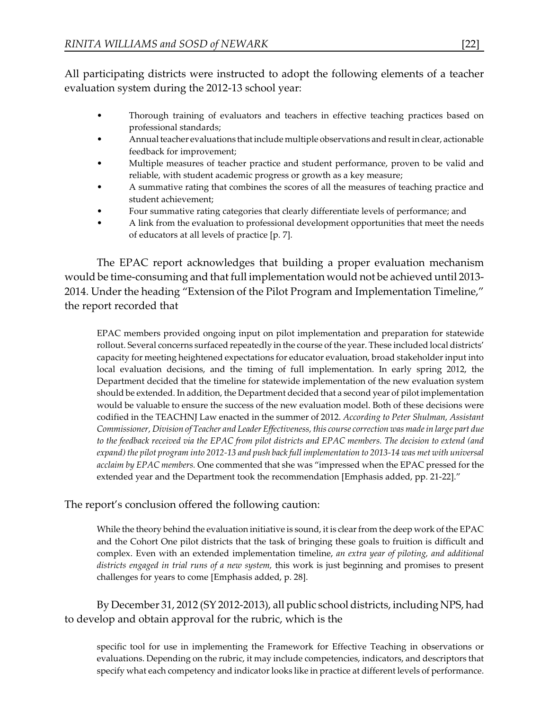All participating districts were instructed to adopt the following elements of a teacher evaluation system during the 2012-13 school year:

- Thorough training of evaluators and teachers in effective teaching practices based on professional standards;
- Annual teacher evaluations that include multiple observations and result in clear, actionable feedback for improvement;
- Multiple measures of teacher practice and student performance, proven to be valid and reliable, with student academic progress or growth as a key measure;
- A summative rating that combines the scores of all the measures of teaching practice and student achievement;
- Four summative rating categories that clearly differentiate levels of performance; and
- A link from the evaluation to professional development opportunities that meet the needs of educators at all levels of practice [p. 7].

The EPAC report acknowledges that building a proper evaluation mechanism would be time-consuming and that full implementation would not be achieved until 2013- 2014. Under the heading "Extension of the Pilot Program and Implementation Timeline," the report recorded that

EPAC members provided ongoing input on pilot implementation and preparation for statewide rollout. Several concerns surfaced repeatedly in the course of the year. These included local districts' capacity for meeting heightened expectations for educator evaluation, broad stakeholder input into local evaluation decisions, and the timing of full implementation. In early spring 2012, the Department decided that the timeline for statewide implementation of the new evaluation system should be extended. In addition, the Department decided that a second year of pilot implementation would be valuable to ensure the success of the new evaluation model. Both of these decisions were codified in the TEACHNJ Law enacted in the summer of 2012. *According to Peter Shulman, Assistant Commissioner, Division of Teacher and Leader Effectiveness, this course correction was made in large part due to the feedback received via the EPAC from pilot districts and EPAC members. The decision to extend (and expand) the pilot program into 2012-13 and push back full implementation to 2013-14 was met with universal acclaim by EPAC members.* One commented that she was "impressed when the EPAC pressed for the extended year and the Department took the recommendation [Emphasis added, pp. 21-22]."

# The report's conclusion offered the following caution:

While the theory behind the evaluation initiative is sound, it is clear from the deep work of the EPAC and the Cohort One pilot districts that the task of bringing these goals to fruition is difficult and complex. Even with an extended implementation timeline, *an extra year of piloting, and additional districts engaged in trial runs of a new system,* this work is just beginning and promises to present challenges for years to come [Emphasis added, p. 28].

By December 31, 2012 (SY 2012-2013), all public school districts, including NPS, had to develop and obtain approval for the rubric, which is the

specific tool for use in implementing the Framework for Effective Teaching in observations or evaluations. Depending on the rubric, it may include competencies, indicators, and descriptors that specify what each competency and indicator looks like in practice at different levels of performance.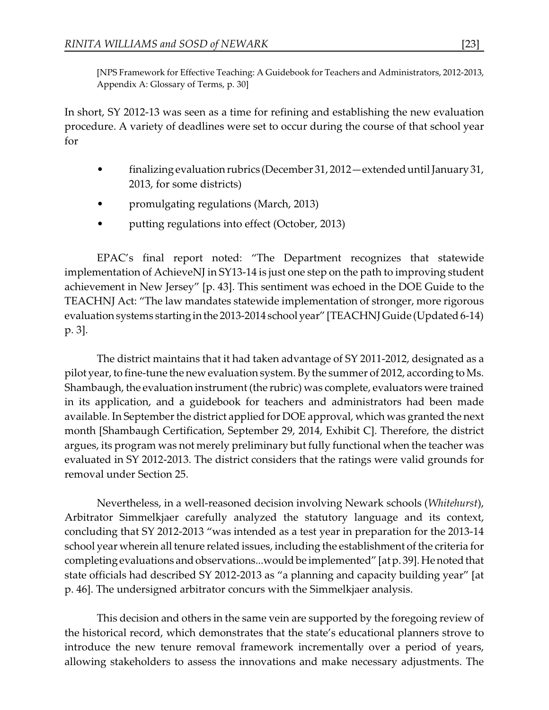[NPS Framework for Effective Teaching: A Guidebook for Teachers and Administrators, 2012-2013, Appendix A: Glossary of Terms, p. 30]

In short, SY 2012-13 was seen as a time for refining and establishing the new evaluation procedure. A variety of deadlines were set to occur during the course of that school year for

- finalizingevaluation rubrics (December 31, 2012—extended until January 31, 2013, for some districts)
- promulgating regulations (March, 2013)
- putting regulations into effect (October, 2013)

EPAC's final report noted: "The Department recognizes that statewide implementation of AchieveNJ in SY13-14 is just one step on the path to improving student achievement in New Jersey" [p. 43]. This sentiment was echoed in the DOE Guide to the TEACHNJ Act: "The law mandates statewide implementation of stronger, more rigorous evaluation systems starting in the 2013-2014 school year" [TEACHNJ Guide (Updated 6-14) p. 3].

The district maintains that it had taken advantage of SY 2011-2012, designated as a pilot year, to fine-tune the new evaluation system. By the summer of 2012, according to Ms. Shambaugh, the evaluation instrument (the rubric) was complete, evaluators were trained in its application, and a guidebook for teachers and administrators had been made available. In September the district applied for DOE approval, which was granted the next month [Shambaugh Certification, September 29, 2014, Exhibit C]. Therefore, the district argues, its program was not merely preliminary but fully functional when the teacher was evaluated in SY 2012-2013. The district considers that the ratings were valid grounds for removal under Section 25.

Nevertheless, in a well-reasoned decision involving Newark schools (*Whitehurst*), Arbitrator Simmelkjaer carefully analyzed the statutory language and its context, concluding that SY 2012-2013 "was intended as a test year in preparation for the 2013-14 school year wherein all tenure related issues, including the establishment of the criteria for completingevaluations and observations...would be implemented" [atp. 39]. Henoted that state officials had described SY 2012-2013 as "a planning and capacity building year" [at p. 46]. The undersigned arbitrator concurs with the Simmelkjaer analysis.

This decision and others in the same vein are supported by the foregoing review of the historical record, which demonstrates that the state's educational planners strove to introduce the new tenure removal framework incrementally over a period of years, allowing stakeholders to assess the innovations and make necessary adjustments. The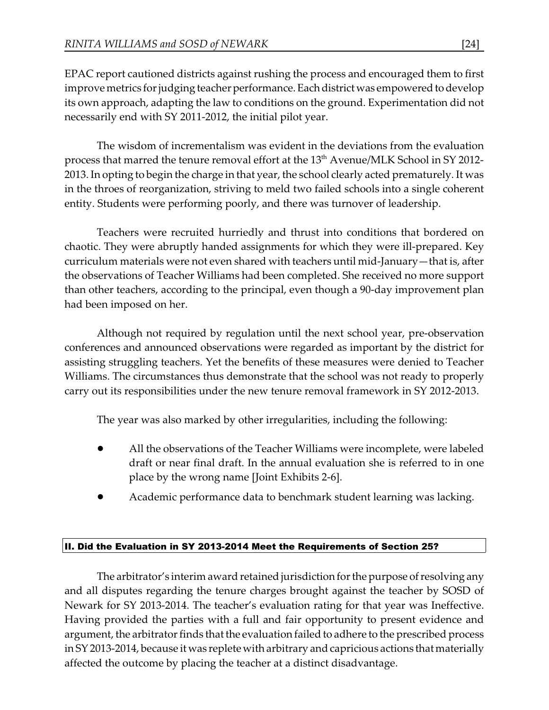EPAC report cautioned districts against rushing the process and encouraged them to first improve metrics for judging teacher performance. Each district was empowered to develop its own approach, adapting the law to conditions on the ground. Experimentation did not necessarily end with SY 2011-2012, the initial pilot year.

The wisdom of incrementalism was evident in the deviations from the evaluation process that marred the tenure removal effort at the 13<sup>th</sup> Avenue/MLK School in SY 2012-2013. In opting to begin the charge in that year, the school clearly acted prematurely. It was in the throes of reorganization, striving to meld two failed schools into a single coherent entity. Students were performing poorly, and there was turnover of leadership.

Teachers were recruited hurriedly and thrust into conditions that bordered on chaotic. They were abruptly handed assignments for which they were ill-prepared. Key curriculum materials were not even shared with teachers until mid-January—that is, after the observations of Teacher Williams had been completed. She received no more support than other teachers, according to the principal, even though a 90-day improvement plan had been imposed on her.

Although not required by regulation until the next school year, pre-observation conferences and announced observations were regarded as important by the district for assisting struggling teachers. Yet the benefits of these measures were denied to Teacher Williams. The circumstances thus demonstrate that the school was not ready to properly carry out its responsibilities under the new tenure removal framework in SY 2012-2013.

The year was also marked by other irregularities, including the following:

- ! All the observations of the Teacher Williams were incomplete, were labeled draft or near final draft. In the annual evaluation she is referred to in one place by the wrong name [Joint Exhibits 2-6].
- ! Academic performance data to benchmark student learning was lacking.

# II. Did the Evaluation in SY 2013-2014 Meet the Requirements of Section 25?

The arbitrator's interim award retained jurisdiction for the purpose of resolving any and all disputes regarding the tenure charges brought against the teacher by SOSD of Newark for SY 2013-2014. The teacher's evaluation rating for that year was Ineffective. Having provided the parties with a full and fair opportunity to present evidence and argument, the arbitrator finds that the evaluation failed to adhere to the prescribed process in SY 2013-2014, because it was replete with arbitrary and capricious actions that materially affected the outcome by placing the teacher at a distinct disadvantage.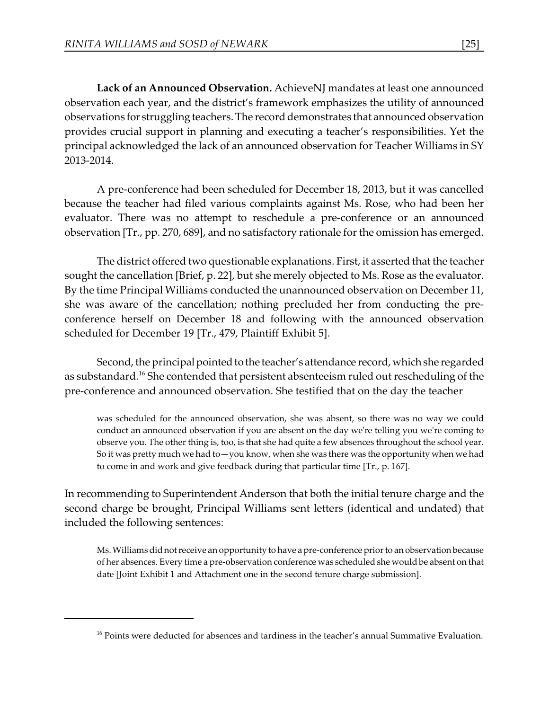**Lack of an Announced Observation.** AchieveNJ mandates at least one announced observation each year, and the district's framework emphasizes the utility of announced observations for struggling teachers. The record demonstrates that announced observation provides crucial support in planning and executing a teacher's responsibilities. Yet the principal acknowledged the lack of an announced observation for Teacher Williams in SY 2013-2014.

A pre-conference had been scheduled for December 18, 2013, but it was cancelled because the teacher had filed various complaints against Ms. Rose, who had been her evaluator. There was no attempt to reschedule a pre-conference or an announced observation [Tr., pp. 270, 689], and no satisfactory rationale for the omission has emerged.

The district offered two questionable explanations. First, it asserted that the teacher sought the cancellation [Brief, p. 22], but she merely objected to Ms. Rose as the evaluator. By the time Principal Williams conducted the unannounced observation on December 11, she was aware of the cancellation; nothing precluded her from conducting the preconference herself on December 18 and following with the announced observation scheduled for December 19 [Tr., 479, Plaintiff Exhibit 5].

Second, the principal pointed to the teacher's attendance record, which she regarded as substandard.<sup>16</sup> She contended that persistent absenteeism ruled out rescheduling of the pre-conference and announced observation. She testified that on the day the teacher

was scheduled for the announced observation, she was absent, so there was no way we could conduct an announced observation if you are absent on the day we're telling you we're coming to observe you. The other thing is, too, is that she had quite a few absences throughout the school year. So it was pretty much we had to—you know, when she was there was the opportunity when we had to come in and work and give feedback during that particular time [Tr., p. 167].

In recommending to Superintendent Anderson that both the initial tenure charge and the second charge be brought, Principal Williams sent letters (identical and undated) that included the following sentences:

Ms. Williams did not receive an opportunity to have a pre-conference prior to an observation because of her absences. Every time a pre-observation conference was scheduled she would be absent on that date [Joint Exhibit 1 and Attachment one in the second tenure charge submission].

 $16$  Points were deducted for absences and tardiness in the teacher's annual Summative Evaluation.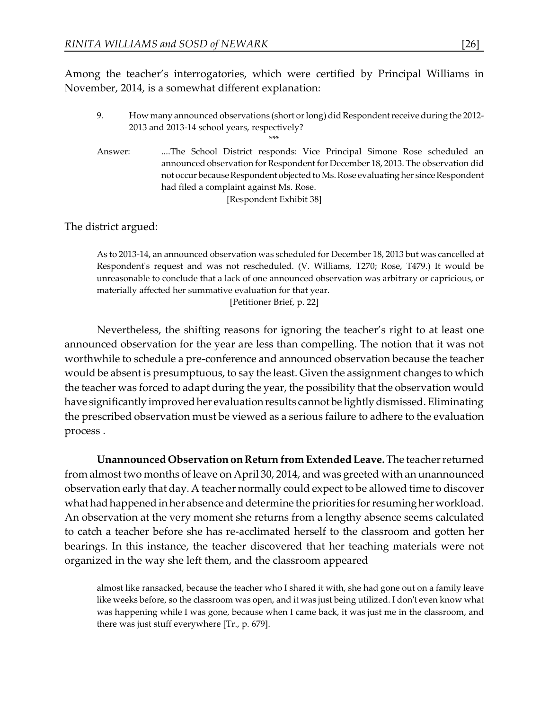Among the teacher's interrogatories, which were certified by Principal Williams in November, 2014, is a somewhat different explanation:

9. How many announced observations (short or long) did Respondent receive during the 2012- 2013 and 2013-14 school years, respectively?

\*\*\*

Answer: ....The School District responds: Vice Principal Simone Rose scheduled an announced observation for Respondent for December 18, 2013. The observation did not occur because Respondent objected to Ms. Rose evaluating her since Respondent had filed a complaint against Ms. Rose. [Respondent Exhibit 38]

The district argued:

As to 2013-14, an announced observation was scheduled for December 18, 2013 but was cancelled at Respondent's request and was not rescheduled. (V. Williams, T270; Rose, T479.) It would be unreasonable to conclude that a lack of one announced observation was arbitrary or capricious, or materially affected her summative evaluation for that year.

[Petitioner Brief, p. 22]

Nevertheless, the shifting reasons for ignoring the teacher's right to at least one announced observation for the year are less than compelling. The notion that it was not worthwhile to schedule a pre-conference and announced observation because the teacher would be absent is presumptuous, to say the least. Given the assignment changes to which the teacher was forced to adapt during the year, the possibility that the observation would have significantly improved her evaluation results cannot be lightly dismissed. Eliminating the prescribed observation must be viewed as a serious failure to adhere to the evaluation process .

**Unannounced Observation on Return from Extended Leave.** The teacher returned from almost two months of leave on April 30, 2014, and was greeted with an unannounced observation early that day. A teacher normally could expect to be allowed time to discover what had happened in her absence and determine the priorities for resuming her workload. An observation at the very moment she returns from a lengthy absence seems calculated to catch a teacher before she has re-acclimated herself to the classroom and gotten her bearings. In this instance, the teacher discovered that her teaching materials were not organized in the way she left them, and the classroom appeared

almost like ransacked, because the teacher who I shared it with, she had gone out on a family leave like weeks before, so the classroom was open, and it was just being utilized. I don't even know what was happening while I was gone, because when I came back, it was just me in the classroom, and there was just stuff everywhere [Tr., p. 679].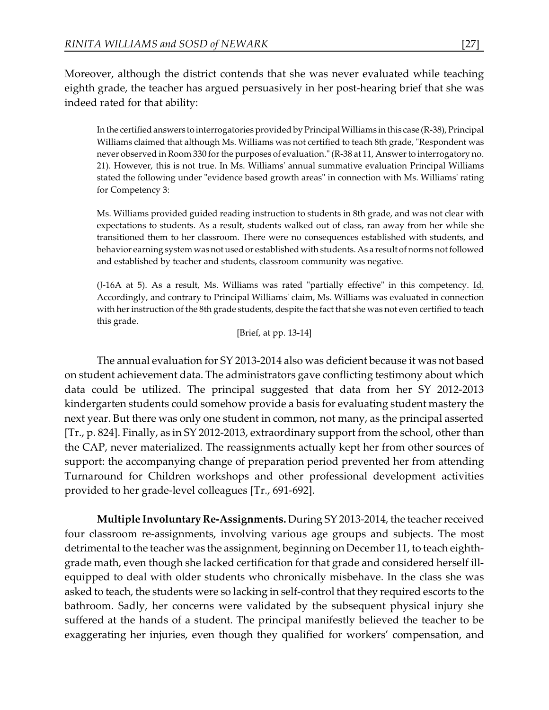Moreover, although the district contends that she was never evaluated while teaching eighth grade, the teacher has argued persuasively in her post-hearing brief that she was indeed rated for that ability:

In the certified answers to interrogatories provided by Principal Williams in this case (R-38), Principal Williams claimed that although Ms. Williams was not certified to teach 8th grade, "Respondent was never observed in Room 330 for the purposes of evaluation." (R-38 at 11, Answer to interrogatory no. 21). However, this is not true. In Ms. Williams' annual summative evaluation Principal Williams stated the following under "evidence based growth areas" in connection with Ms. Williams' rating for Competency 3:

Ms. Williams provided guided reading instruction to students in 8th grade, and was not clear with expectations to students. As a result, students walked out of class, ran away from her while she transitioned them to her classroom. There were no consequences established with students, and behavior earning system was not used or established with students. As a result of norms not followed and established by teacher and students, classroom community was negative.

(J-16A at 5). As a result, Ms. Williams was rated "partially effective" in this competency. Id. Accordingly, and contrary to Principal Williams' claim, Ms. Williams was evaluated in connection with her instruction of the 8th grade students, despite the fact that she was not even certified to teach this grade.

```
[Brief, at pp. 13-14]
```
The annual evaluation for SY 2013-2014 also was deficient because it was not based on student achievement data. The administrators gave conflicting testimony about which data could be utilized. The principal suggested that data from her SY 2012-2013 kindergarten students could somehow provide a basis for evaluating student mastery the next year. But there was only one student in common, not many, as the principal asserted [Tr., p. 824]. Finally, as in SY 2012-2013, extraordinary support from the school, other than the CAP, never materialized. The reassignments actually kept her from other sources of support: the accompanying change of preparation period prevented her from attending Turnaround for Children workshops and other professional development activities provided to her grade-level colleagues [Tr., 691-692].

**Multiple Involuntary Re-Assignments.** During SY 2013-2014, the teacher received four classroom re-assignments, involving various age groups and subjects. The most detrimental to the teacher was the assignment, beginning on December 11, to teach eighthgrade math, even though she lacked certification for that grade and considered herself illequipped to deal with older students who chronically misbehave. In the class she was asked to teach, the students were so lacking in self-control that they required escorts to the bathroom. Sadly, her concerns were validated by the subsequent physical injury she suffered at the hands of a student. The principal manifestly believed the teacher to be exaggerating her injuries, even though they qualified for workers' compensation, and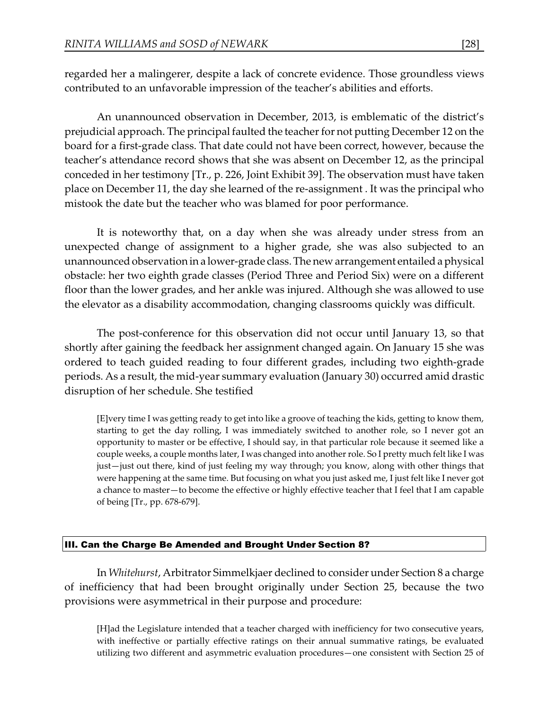regarded her a malingerer, despite a lack of concrete evidence. Those groundless views contributed to an unfavorable impression of the teacher's abilities and efforts.

An unannounced observation in December, 2013, is emblematic of the district's prejudicial approach. The principal faulted the teacher for not putting December 12 on the board for a first-grade class. That date could not have been correct, however, because the teacher's attendance record shows that she was absent on December 12, as the principal conceded in her testimony [Tr., p. 226, Joint Exhibit 39]. The observation must have taken place on December 11, the day she learned of the re-assignment . It was the principal who mistook the date but the teacher who was blamed for poor performance.

It is noteworthy that, on a day when she was already under stress from an unexpected change of assignment to a higher grade, she was also subjected to an unannounced observation in a lower-grade class. The new arrangement entailed a physical obstacle: her two eighth grade classes (Period Three and Period Six) were on a different floor than the lower grades, and her ankle was injured. Although she was allowed to use the elevator as a disability accommodation, changing classrooms quickly was difficult.

The post-conference for this observation did not occur until January 13, so that shortly after gaining the feedback her assignment changed again. On January 15 she was ordered to teach guided reading to four different grades, including two eighth-grade periods. As a result, the mid-year summary evaluation (January 30) occurred amid drastic disruption of her schedule. She testified

[E]very time I was getting ready to get into like a groove of teaching the kids, getting to know them, starting to get the day rolling, I was immediately switched to another role, so I never got an opportunity to master or be effective, I should say, in that particular role because it seemed like a couple weeks, a couple months later, I was changed into another role. So I pretty much felt like I was just—just out there, kind of just feeling my way through; you know, along with other things that were happening at the same time. But focusing on what you just asked me, I just felt like I never got a chance to master—to become the effective or highly effective teacher that I feel that I am capable of being [Tr., pp. 678-679].

### III. Can the Charge Be Amended and Brought Under Section 8?

In *Whitehurst*, Arbitrator Simmelkjaer declined to consider under Section 8 a charge of inefficiency that had been brought originally under Section 25, because the two provisions were asymmetrical in their purpose and procedure:

[H]ad the Legislature intended that a teacher charged with inefficiency for two consecutive years, with ineffective or partially effective ratings on their annual summative ratings, be evaluated utilizing two different and asymmetric evaluation procedures—one consistent with Section 25 of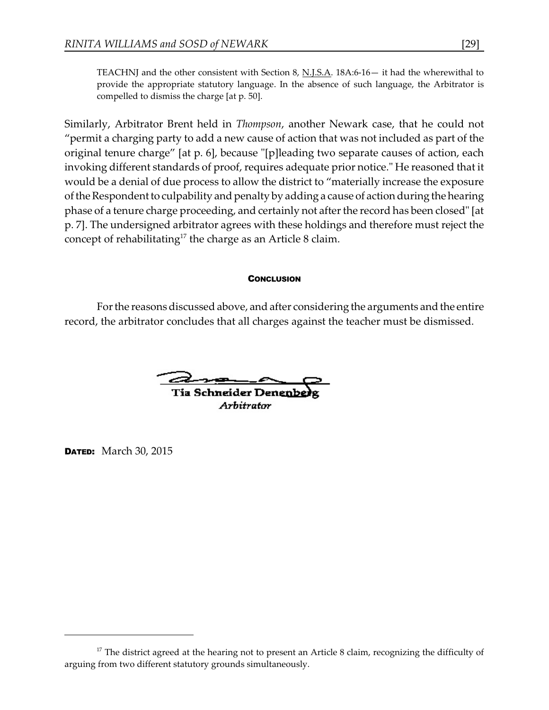TEACHNJ and the other consistent with Section 8, N.J.S.A. 18A:6-16— it had the wherewithal to provide the appropriate statutory language. In the absence of such language, the Arbitrator is compelled to dismiss the charge [at p. 50].

Similarly, Arbitrator Brent held in *Thompson*, another Newark case, that he could not "permit a charging party to add a new cause of action that was not included as part of the original tenure charge" [at p. 6], because "[p]leading two separate causes of action, each invoking different standards of proof, requires adequate prior notice." He reasoned that it would be a denial of due process to allow the district to "materially increase the exposure of the Respondent to culpability and penalty by adding a cause of action during the hearing phase of a tenure charge proceeding, and certainly not after the record has been closed" [at p. 7]. The undersigned arbitrator agrees with these holdings and therefore must reject the concept of rehabilitating<sup>17</sup> the charge as an Article 8 claim.

#### **CONCLUSION**

For the reasons discussed above, and after considering the arguments and the entire record, the arbitrator concludes that all charges against the teacher must be dismissed.

**Tia Schneider Denenbe** 

Arhitrator

**DATED:** March 30, 2015

 $17$  The district agreed at the hearing not to present an Article 8 claim, recognizing the difficulty of arguing from two different statutory grounds simultaneously.